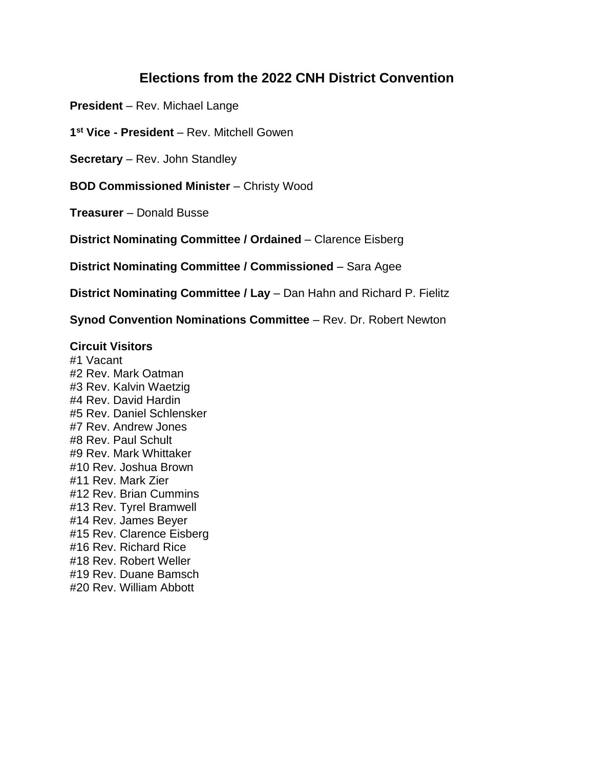# **Elections from the 2022 CNH District Convention**

**President** – Rev. Michael Lange

**1 st Vice - President** – Rev. Mitchell Gowen

**Secretary** – Rev. John Standley

**BOD Commissioned Minister** – Christy Wood

**Treasurer** – Donald Busse

**District Nominating Committee / Ordained** – Clarence Eisberg

**District Nominating Committee / Commissioned** – Sara Agee

**District Nominating Committee / Lay** – Dan Hahn and Richard P. Fielitz

**Synod Convention Nominations Committee** – Rev. Dr. Robert Newton

### **Circuit Visitors**

#1 Vacant #2 Rev. Mark Oatman #3 Rev. Kalvin Waetzig #4 Rev. David Hardin #5 Rev. Daniel Schlensker #7 Rev. Andrew Jones #8 Rev. Paul Schult #9 Rev. Mark Whittaker #10 Rev. Joshua Brown #11 Rev. Mark Zier #12 Rev. Brian Cummins #13 Rev. Tyrel Bramwell #14 Rev. James Beyer #15 Rev. Clarence Eisberg #16 Rev. Richard Rice #18 Rev. Robert Weller #19 Rev. Duane Bamsch #20 Rev. William Abbott